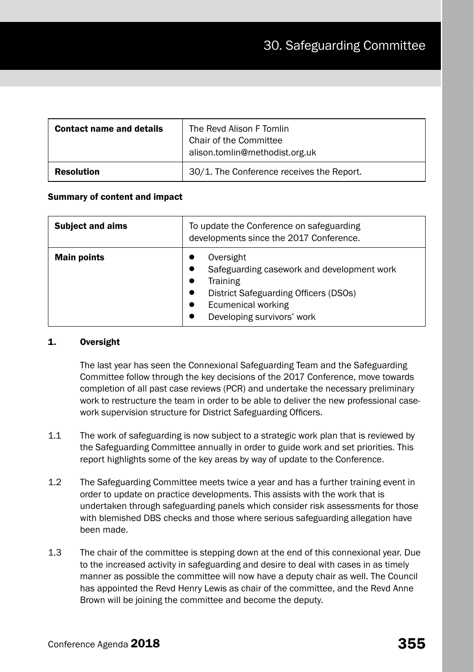| <b>Contact name and details</b> | The Revd Alison F Tomlin<br>Chair of the Committee<br>alison.tomlin@methodist.org.uk |
|---------------------------------|--------------------------------------------------------------------------------------|
| <b>Resolution</b>               | 30/1. The Conference receives the Report.                                            |

### Summary of content and impact

| <b>Subject and aims</b> | To update the Conference on safeguarding<br>developments since the 2017 Conference.                                                                              |  |  |
|-------------------------|------------------------------------------------------------------------------------------------------------------------------------------------------------------|--|--|
| <b>Main points</b>      | Oversight<br>Safeguarding casework and development work<br>Training<br>District Safeguarding Officers (DSOs)<br>Ecumenical working<br>Developing survivors' work |  |  |

# 1. Oversight

The last year has seen the Connexional Safeguarding Team and the Safeguarding Committee follow through the key decisions of the 2017 Conference, move towards completion of all past case reviews (PCR) and undertake the necessary preliminary work to restructure the team in order to be able to deliver the new professional casework supervision structure for District Safeguarding Officers.

- 1.1 The work of safeguarding is now subject to a strategic work plan that is reviewed by the Safeguarding Committee annually in order to guide work and set priorities. This report highlights some of the key areas by way of update to the Conference.
- 1.2 The Safeguarding Committee meets twice a year and has a further training event in order to update on practice developments. This assists with the work that is undertaken through safeguarding panels which consider risk assessments for those with blemished DBS checks and those where serious safeguarding allegation have been made.
- 1.3 The chair of the committee is stepping down at the end of this connexional year. Due to the increased activity in safeguarding and desire to deal with cases in as timely manner as possible the committee will now have a deputy chair as well. The Council has appointed the Revd Henry Lewis as chair of the committee, and the Revd Anne Brown will be joining the committee and become the deputy.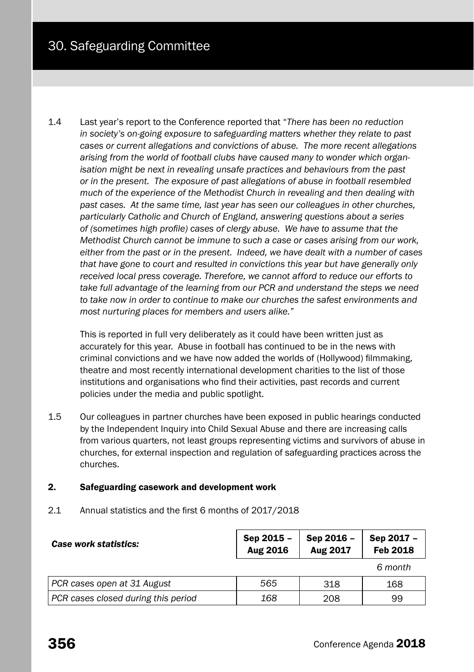1.4 Last year's report to the Conference reported that "*There has been no reduction in society's on-going exposure to safeguarding matters whether they relate to past cases or current allegations and convictions of abuse. The more recent allegations arising from the world of football clubs have caused many to wonder which organisation might be next in revealing unsafe practices and behaviours from the past or in the present. The exposure of past allegations of abuse in football resembled much of the experience of the Methodist Church in revealing and then dealing with past cases. At the same time, last year has seen our colleagues in other churches, particularly Catholic and Church of England, answering questions about a series of (sometimes high profile) cases of clergy abuse. We have to assume that the Methodist Church cannot be immune to such a case or cases arising from our work, either from the past or in the present. Indeed, we have dealt with a number of cases that have gone to court and resulted in convictions this year but have generally only received local press coverage. Therefore, we cannot afford to reduce our efforts to take full advantage of the learning from our PCR and understand the steps we need to take now in order to continue to make our churches the safest environments and most nurturing places for members and users alike."*

This is reported in full very deliberately as it could have been written just as accurately for this year. Abuse in football has continued to be in the news with criminal convictions and we have now added the worlds of (Hollywood) filmmaking, theatre and most recently international development charities to the list of those institutions and organisations who find their activities, past records and current policies under the media and public spotlight.

1.5 Our colleagues in partner churches have been exposed in public hearings conducted by the Independent Inquiry into Child Sexual Abuse and there are increasing calls from various quarters, not least groups representing victims and survivors of abuse in churches, for external inspection and regulation of safeguarding practices across the churches.

## 2. Safeguarding casework and development work

2.1 Annual statistics and the first 6 months of 2017/2018

| Case work statistics:               | Sep 2015 -<br>Aug 2016 | Sep 2016 -<br>Aug 2017 | Sep 2017 -<br>Feb 2018 |  |
|-------------------------------------|------------------------|------------------------|------------------------|--|
|                                     |                        |                        | 6 month                |  |
| PCR cases open at 31 August         | 565                    | 318                    | 168                    |  |
| PCR cases closed during this period | 168                    | 208                    | 99                     |  |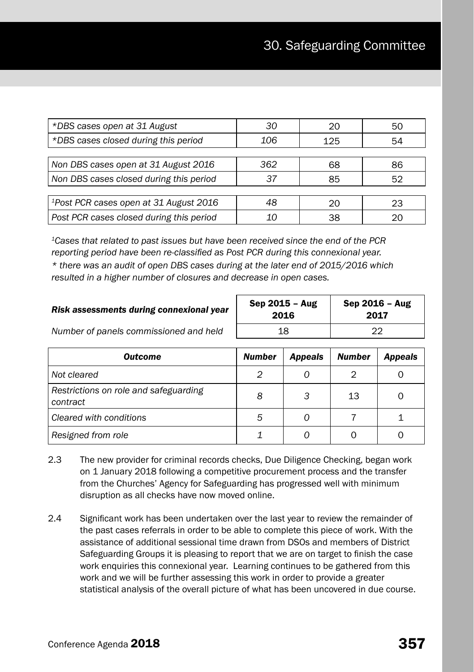| *DBS cases open at 31 August                       | 30  | 20  | 50 |
|----------------------------------------------------|-----|-----|----|
| *DBS cases closed during this period               | 106 | 125 | 54 |
|                                                    |     |     |    |
| Non DBS cases open at 31 August 2016               | 362 | 68  | 86 |
| Non DBS cases closed during this period            | 37  | 85  | 52 |
|                                                    |     |     |    |
| <sup>1</sup> Post PCR cases open at 31 August 2016 | 48  | 20  | 23 |
| Post PCR cases closed during this period           | 10  | 38  |    |

*1Cases that related to past issues but have been received since the end of the PCR reporting period have been re-classified as Post PCR during this connexional year. \* there was an audit of open DBS cases during at the later end of 2015/2016 which resulted in a higher number of closures and decrease in open cases.*

| Risk assessments during connexional year | Sep $2015 - Aug$<br>2016 | Sep $2016$ – Aug<br>2017 |  |
|------------------------------------------|--------------------------|--------------------------|--|
| Number of panels commissioned and held   | 18                       |                          |  |

| <b>Outcome</b>                                    | <b>Number</b> | <b>Appeals</b> | <b>Number</b> | <b>Appeals</b> |
|---------------------------------------------------|---------------|----------------|---------------|----------------|
| Not cleared                                       | 2             |                | 2             |                |
| Restrictions on role and safeguarding<br>contract | 8             | 3              | 13            |                |
| Cleared with conditions                           | 5             |                |               |                |
| Resigned from role                                |               |                | 0             |                |

- 2.3 The new provider for criminal records checks, Due Diligence Checking, began work on 1 January 2018 following a competitive procurement process and the transfer from the Churches' Agency for Safeguarding has progressed well with minimum disruption as all checks have now moved online.
- 2.4 Significant work has been undertaken over the last year to review the remainder of the past cases referrals in order to be able to complete this piece of work. With the assistance of additional sessional time drawn from DSOs and members of District Safeguarding Groups it is pleasing to report that we are on target to finish the case work enquiries this connexional year. Learning continues to be gathered from this work and we will be further assessing this work in order to provide a greater statistical analysis of the overall picture of what has been uncovered in due course.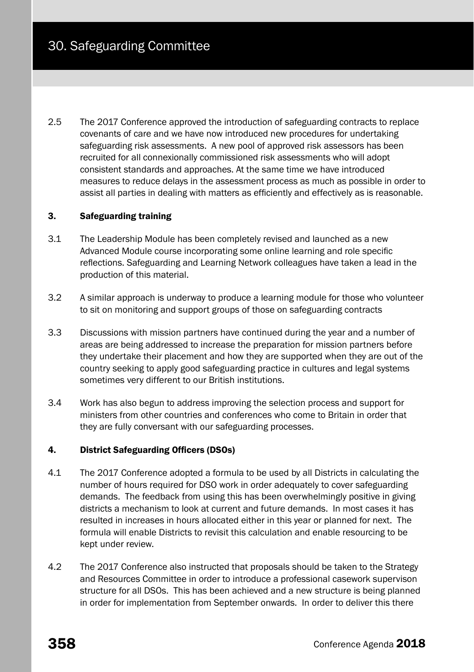2.5 The 2017 Conference approved the introduction of safeguarding contracts to replace covenants of care and we have now introduced new procedures for undertaking safeguarding risk assessments. A new pool of approved risk assessors has been recruited for all connexionally commissioned risk assessments who will adopt consistent standards and approaches. At the same time we have introduced measures to reduce delays in the assessment process as much as possible in order to assist all parties in dealing with matters as efficiently and effectively as is reasonable.

## 3. Safeguarding training

- 3.1 The Leadership Module has been completely revised and launched as a new Advanced Module course incorporating some online learning and role specific reflections. Safeguarding and Learning Network colleagues have taken a lead in the production of this material.
- 3.2 A similar approach is underway to produce a learning module for those who volunteer to sit on monitoring and support groups of those on safeguarding contracts
- 3.3 Discussions with mission partners have continued during the year and a number of areas are being addressed to increase the preparation for mission partners before they undertake their placement and how they are supported when they are out of the country seeking to apply good safeguarding practice in cultures and legal systems sometimes very different to our British institutions.
- 3.4 Work has also begun to address improving the selection process and support for ministers from other countries and conferences who come to Britain in order that they are fully conversant with our safeguarding processes.

## 4. District Safeguarding Officers (DSOs)

- 4.1 The 2017 Conference adopted a formula to be used by all Districts in calculating the number of hours required for DSO work in order adequately to cover safeguarding demands. The feedback from using this has been overwhelmingly positive in giving districts a mechanism to look at current and future demands. In most cases it has resulted in increases in hours allocated either in this year or planned for next. The formula will enable Districts to revisit this calculation and enable resourcing to be kept under review.
- 4.2 The 2017 Conference also instructed that proposals should be taken to the Strategy and Resources Committee in order to introduce a professional casework supervison structure for all DSOs. This has been achieved and a new structure is being planned in order for implementation from September onwards. In order to deliver this there